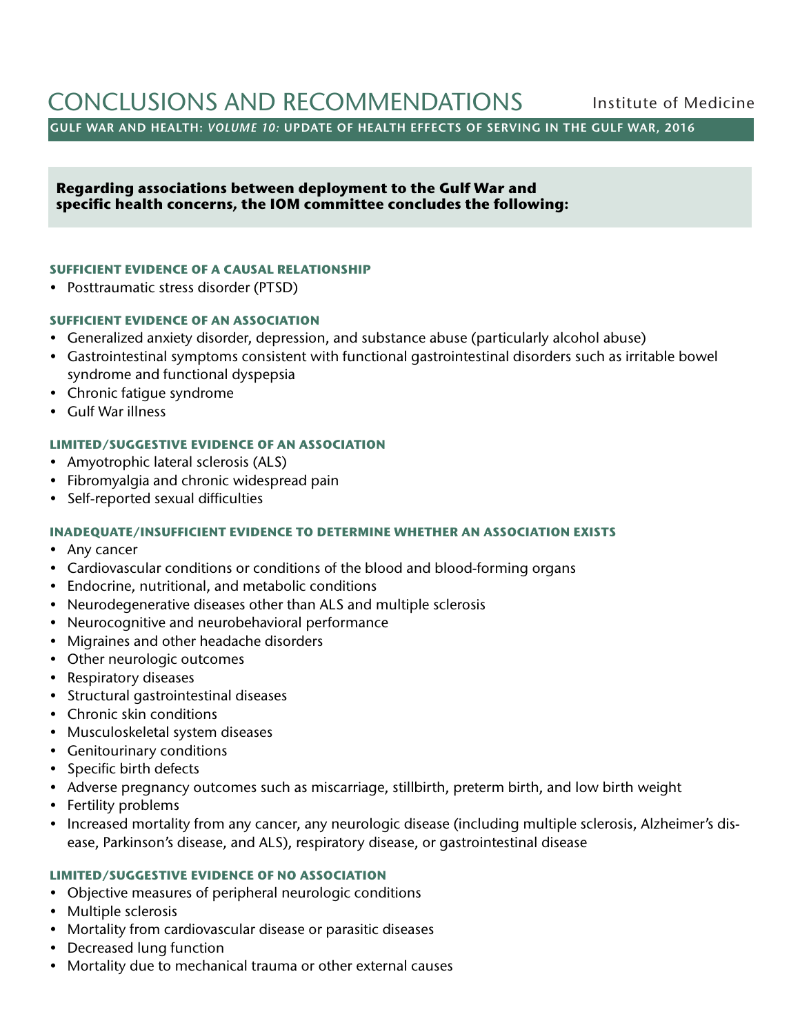# CONCLUSIONS AND RECOMMENDATIONS Institute of Medicine

**GULF WAR AND HEALTH:** *VOLUME 10:* **UPDATE OF HEALTH EFFECTS OF SERVING IN THE GULF WAR, 2016**

 **Regarding associations between deployment to the Gulf War and specific health concerns, the IOM committee concludes the following:** 

### **SUFFICIENT EVIDENCE OF A CAUSAL RELATIONSHIP**

• Posttraumatic stress disorder (PTSD)

## **SUFFICIENT EVIDENCE OF AN ASSOCIATION**

- Generalized anxiety disorder, depression, and substance abuse (particularly alcohol abuse)
- Gastrointestinal symptoms consistent with functional gastrointestinal disorders such as irritable bowel syndrome and functional dyspepsia
- Chronic fatigue syndrome
- Gulf War illness

## **LIMITED/SUGGESTIVE EVIDENCE OF AN ASSOCIATION**

- Amyotrophic lateral sclerosis (ALS)
- Fibromyalgia and chronic widespread pain
- Self-reported sexual difficulties

## **INADEQUATE/INSUFFICIENT EVIDENCE TO DETERMINE WHETHER AN ASSOCIATION EXISTS**

- Any cancer
- Cardiovascular conditions or conditions of the blood and blood-forming organs
- Endocrine, nutritional, and metabolic conditions
- Neurodegenerative diseases other than ALS and multiple sclerosis
- Neurocognitive and neurobehavioral performance
- Migraines and other headache disorders
- Other neurologic outcomes
- Respiratory diseases
- Structural gastrointestinal diseases
- Chronic skin conditions
- Musculoskeletal system diseases
- Genitourinary conditions
- Specific birth defects
- Adverse pregnancy outcomes such as miscarriage, stillbirth, preterm birth, and low birth weight
- Fertility problems
- Increased mortality from any cancer, any neurologic disease (including multiple sclerosis, Alzheimer's disease, Parkinson's disease, and ALS), respiratory disease, or gastrointestinal disease

### **LIMITED/SUGGESTIVE EVIDENCE OF NO ASSOCIATION**

- Objective measures of peripheral neurologic conditions
- Multiple sclerosis
- Mortality from cardiovascular disease or parasitic diseases
- Decreased lung function
- Mortality due to mechanical trauma or other external causes